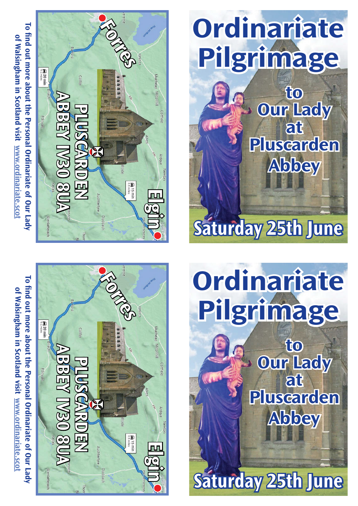**To find out more about the Personal Ordinariate of Our Lady**  To find out more about the Personal Ordinariate of Our Lady of Walsingham in Scotland visit www.ordinariate.sco **of Walsingham in Scotland visit www.ordinariate.scot**





**Our Lady at Pluscarden Abbey**

# **Ordinariate Pilgrimage to**

**Saturday 25th June**

**Saturday 25th June**

**Our Lady at Pluscarden Abbey**

To find out more about the Personal Ordinariate of Our Lady **To find out more about the Personal Ordinariate of Our Lady**  of Walsingham in Scotland visit www.ordinariate.scol **of Walsingham in Scotland visit www.ordinariate.scot**